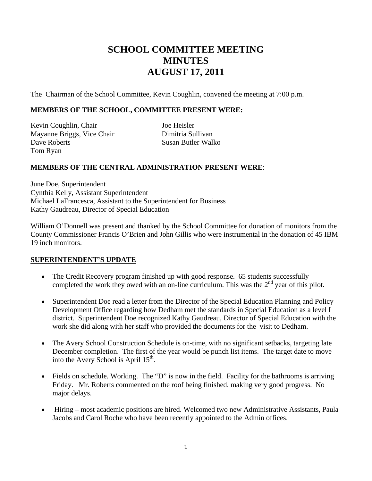# **SCHOOL COMMITTEE MEETING MINUTES AUGUST 17, 2011**

The Chairman of the School Committee, Kevin Coughlin, convened the meeting at 7:00 p.m.

## **MEMBERS OF THE SCHOOL, COMMITTEE PRESENT WERE:**

Kevin Coughlin, Chair Joe Heisler Mayanne Briggs, Vice Chair Dimitria Sullivan Dave Roberts Susan Butler Walko Tom Ryan

#### **MEMBERS OF THE CENTRAL ADMINISTRATION PRESENT WERE**:

June Doe, Superintendent Cynthia Kelly, Assistant Superintendent Michael LaFrancesca, Assistant to the Superintendent for Business Kathy Gaudreau, Director of Special Education

William O'Donnell was present and thanked by the School Committee for donation of monitors from the County Commissioner Francis O'Brien and John Gillis who were instrumental in the donation of 45 IBM 19 inch monitors.

#### **SUPERINTENDENT'S UPDATE**

- The Credit Recovery program finished up with good response. 65 students successfully completed the work they owed with an on-line curriculum. This was the  $2<sup>nd</sup>$  year of this pilot.
- Superintendent Doe read a letter from the Director of the Special Education Planning and Policy Development Office regarding how Dedham met the standards in Special Education as a level I district. Superintendent Doe recognized Kathy Gaudreau, Director of Special Education with the work she did along with her staff who provided the documents for the visit to Dedham.
- The Avery School Construction Schedule is on-time, with no significant setbacks, targeting late December completion. The first of the year would be punch list items. The target date to move into the Avery School is April  $15<sup>th</sup>$ .
- Fields on schedule. Working. The "D" is now in the field. Facility for the bathrooms is arriving Friday. Mr. Roberts commented on the roof being finished, making very good progress. No major delays.
- Hiring most academic positions are hired. Welcomed two new Administrative Assistants, Paula Jacobs and Carol Roche who have been recently appointed to the Admin offices.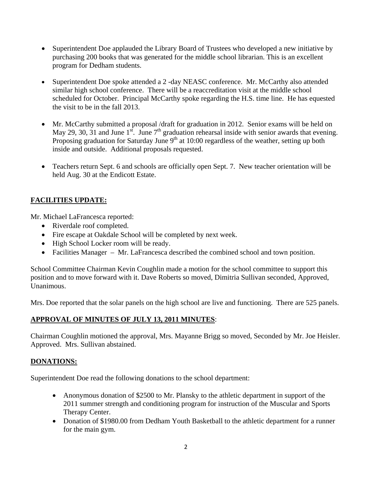- Superintendent Doe applauded the Library Board of Trustees who developed a new initiative by purchasing 200 books that was generated for the middle school librarian. This is an excellent program for Dedham students.
- Superintendent Doe spoke attended a 2-day NEASC conference. Mr. McCarthy also attended similar high school conference. There will be a reaccreditation visit at the middle school scheduled for October. Principal McCarthy spoke regarding the H.S. time line. He has equested the visit to be in the fall 2013.
- Mr. McCarthy submitted a proposal /draft for graduation in 2012. Senior exams will be held on May 29, 30, 31 and June 1<sup>st</sup>. June  $7<sup>th</sup>$  graduation rehearsal inside with senior awards that evening. Proposing graduation for Saturday June  $9<sup>th</sup>$  at 10:00 regardless of the weather, setting up both inside and outside. Additional proposals requested.
- Teachers return Sept. 6 and schools are officially open Sept. 7. New teacher orientation will be held Aug. 30 at the Endicott Estate.

# **FACILITIES UPDATE:**

Mr. Michael LaFrancesca reported:

- Riverdale roof completed.
- Fire escape at Oakdale School will be completed by next week.
- High School Locker room will be ready.
- Facilities Manager Mr. LaFrancesca described the combined school and town position.

School Committee Chairman Kevin Coughlin made a motion for the school committee to support this position and to move forward with it. Dave Roberts so moved, Dimitria Sullivan seconded, Approved, Unanimous.

Mrs. Doe reported that the solar panels on the high school are live and functioning. There are 525 panels.

## **APPROVAL OF MINUTES OF JULY 13, 2011 MINUTES**:

Chairman Coughlin motioned the approval, Mrs. Mayanne Brigg so moved, Seconded by Mr. Joe Heisler. Approved. Mrs. Sullivan abstained.

## **DONATIONS:**

Superintendent Doe read the following donations to the school department:

- Anonymous donation of \$2500 to Mr. Plansky to the athletic department in support of the 2011 summer strength and conditioning program for instruction of the Muscular and Sports Therapy Center.
- Donation of \$1980.00 from Dedham Youth Basketball to the athletic department for a runner for the main gym.